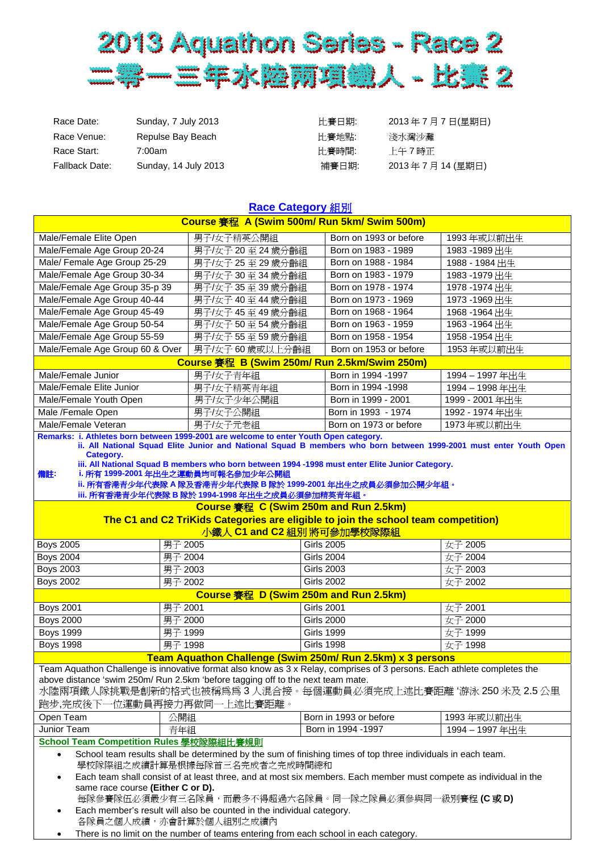

| Sunday, 7 July 2013  | 比賽日期: | 2013年7月7日(星期日) |
|----------------------|-------|----------------|
| Repulse Bay Beach    | 比賽地點: | 淺水灣沙灘          |
| 7:00am               | 比賽時間: | 上午7時正          |
| Sunday, 14 July 2013 | 補賽日期: | 2013年7月14(星期日) |
|                      |       |                |

| Race Category 組別                                                                                                                                          |                                                                                                                         |                        |                 |
|-----------------------------------------------------------------------------------------------------------------------------------------------------------|-------------------------------------------------------------------------------------------------------------------------|------------------------|-----------------|
| Course 賽程 A (Swim 500m/ Run 5km/ Swim 500m)                                                                                                               |                                                                                                                         |                        |                 |
| Male/Female Elite Open                                                                                                                                    | 男子/女子精英公開組                                                                                                              | Born on 1993 or before | 1993年或以前出生      |
| Male/Female Age Group 20-24                                                                                                                               | 男子/女子 20 至 24 歲分齡組                                                                                                      | Born on 1983 - 1989    | 1983-1989出生     |
| Male/ Female Age Group 25-29                                                                                                                              | 男子/女子 25 至 29 歲分齡組                                                                                                      | Born on 1988 - 1984    | 1988 - 1984出生   |
| Male/Female Age Group 30-34                                                                                                                               | 男子/女子 30至34歲分齡組                                                                                                         | Born on 1983 - 1979    | 1983-1979出生     |
| Male/Female Age Group 35-p 39                                                                                                                             | 男子/女子 35 至 39 歲分齡組                                                                                                      | Born on 1978 - 1974    | 1978 -1974 出生   |
| Male/Female Age Group 40-44                                                                                                                               | 男子/女子 40至 44 歲分齡組                                                                                                       | Born on 1973 - 1969    | 1973 -1969出生    |
| Male/Female Age Group 45-49                                                                                                                               | 男子/女子 45 至 49 歲分齡組                                                                                                      | Born on 1968 - 1964    | 1968-1964出生     |
| Male/Female Age Group 50-54                                                                                                                               | 男子/女子50至54歲分齡組                                                                                                          | Born on 1963 - 1959    | 1963-1964出生     |
| Male/Female Age Group 55-59                                                                                                                               | 男子/女子 55 至 59 歲分齡組                                                                                                      | Born on 1958 - 1954    | 1958 -1954 出生   |
| Male/Female Age Group 60 & Over                                                                                                                           | 男子/女子60歲或以上分齡組                                                                                                          | Born on 1953 or before | 1953年或以前出生      |
|                                                                                                                                                           | Course 賽程 B (Swim 250m/ Run 2.5km/Swim 250m)                                                                            |                        |                 |
| Male/Female Junior                                                                                                                                        | 男子/女子青年組                                                                                                                | Born in 1994 -1997     | 1994-1997年出生    |
| Male/Female Elite Junior                                                                                                                                  | 男子/女子精英青年組                                                                                                              | Born in 1994 -1998     | 1994 - 1998 年出生 |
| Male/Female Youth Open                                                                                                                                    | 男子/女子少年公開組                                                                                                              | Born in 1999 - 2001    | 1999 - 2001 年出生 |
| Male /Female Open                                                                                                                                         | 男子/女子公開組                                                                                                                | Born in 1993 - 1974    | 1992 - 1974年出生  |
| Male/Female Veteran                                                                                                                                       | 男子/女子元老組                                                                                                                | Born on 1973 or before | 1973年或以前出生      |
| Remarks: i. Athletes born between 1999-2001 are welcome to enter Youth Open category.                                                                     |                                                                                                                         |                        |                 |
| Category.                                                                                                                                                 | ii. All National Squad Elite Junior and National Squad B members who born between 1999-2001 must enter Youth Open       |                        |                 |
|                                                                                                                                                           | iii. All National Squad B members who born between 1994 -1998 must enter Elite Junior Category.                         |                        |                 |
| 備註:                                                                                                                                                       | i. 所有 1999-2001 年出生之運動員均可報名參加少年公開組                                                                                      |                        |                 |
|                                                                                                                                                           | ii. 所有香港青少年代表隊 A 隊及香港青少年代表隊 B 隊於 1999-2001 年出生之成員必須參加公開少年組。                                                             |                        |                 |
|                                                                                                                                                           | iii. 所有香港青少年代表隊 B 隊於 1994-1998 年出生之成員必須參加精英青年組。                                                                         |                        |                 |
|                                                                                                                                                           | Course 賽程 C (Swim 250m and Run 2.5km)                                                                                   |                        |                 |
|                                                                                                                                                           | The C1 and C2 TriKids Categories are eligible to join the school team competition)                                      |                        |                 |
|                                                                                                                                                           | 小鐵人 C1 and C2 組別 將可參加學校隊際組                                                                                              |                        |                 |
| <b>Boys 2005</b>                                                                                                                                          | 男子 2005                                                                                                                 | <b>Girls 2005</b>      | 女子 2005         |
| <b>Boys 2004</b>                                                                                                                                          | 男子 2004                                                                                                                 | <b>Girls 2004</b>      | 女子 2004         |
| <b>Boys 2003</b>                                                                                                                                          | 男子 2003                                                                                                                 | <b>Girls 2003</b>      | 女子 2003         |
| <b>Boys 2002</b>                                                                                                                                          | 男子 2002                                                                                                                 | <b>Girls 2002</b>      | 女子 2002         |
|                                                                                                                                                           | Course 賽程 D (Swim 250m and Run 2.5km)                                                                                   |                        |                 |
| <b>Boys 2001</b>                                                                                                                                          | 男子 2001                                                                                                                 | <b>Girls 2001</b>      | 女子 2001         |
| <b>Boys 2000</b>                                                                                                                                          | 男子 2000                                                                                                                 | <b>Girls 2000</b>      | 女子 2000         |
| <b>Boys 1999</b>                                                                                                                                          | 男子 1999                                                                                                                 | <b>Girls 1999</b>      | 女子 1999         |
| <b>Boys 1998</b>                                                                                                                                          | 男子 1998                                                                                                                 | <b>Girls 1998</b>      | 女子 1998         |
|                                                                                                                                                           | Team Aquathon Challenge (Swim 250m/ Run 2.5km) x 3 persons                                                              |                        |                 |
|                                                                                                                                                           | Team Aquathon Challenge is innovative format also know as 3 x Relay, comprises of 3 persons. Each athlete completes the |                        |                 |
|                                                                                                                                                           | above distance 'swim 250m/ Run 2.5km 'before tagging off to the next team mate.                                         |                        |                 |
|                                                                                                                                                           | 水陸兩項鐵人隊挑戰是創新的格式也被稱爲爲3人混合接。每個運動員必須完成上述比賽距離 '游泳 250 米及 2.5 公里                                                             |                        |                 |
| 跑步,完成後下一位運動員再接力再做同一上述比賽距離。                                                                                                                                |                                                                                                                         |                        |                 |
| Open Team                                                                                                                                                 | 公開組                                                                                                                     | Born in 1993 or before | 1993年或以前出生      |
| Junior Team                                                                                                                                               | 青年組                                                                                                                     | Born in 1994 -1997     | 1994-1997年出生    |
| School Team Competition Rules 學校隊際組比賽規則                                                                                                                   |                                                                                                                         |                        |                 |
| School team results shall be determined by the sum of finishing times of top three individuals in each team.<br>$\bullet$<br>學校隊際組之成績計算是根據每隊首三名完成者之完成時間總和 |                                                                                                                         |                        |                 |
| Each team shall consist of at least three, and at most six members. Each member must compete as individual in the<br>$\bullet$                            |                                                                                                                         |                        |                 |
| same race course (Either C or D).                                                                                                                         |                                                                                                                         |                        |                 |
| 每隊參賽隊伍必須最少有三名隊員,而最多不得超過六名隊員。同一隊之隊員必須參與同一級別賽程 <b>(C 或 D)</b>                                                                                               |                                                                                                                         |                        |                 |
| Each member's result will also be counted in the individual category.<br>各隊員之個人成績,亦會計算於個人組別之成績內                                                           |                                                                                                                         |                        |                 |

• There is no limit on the number of teams entering from each school in each category.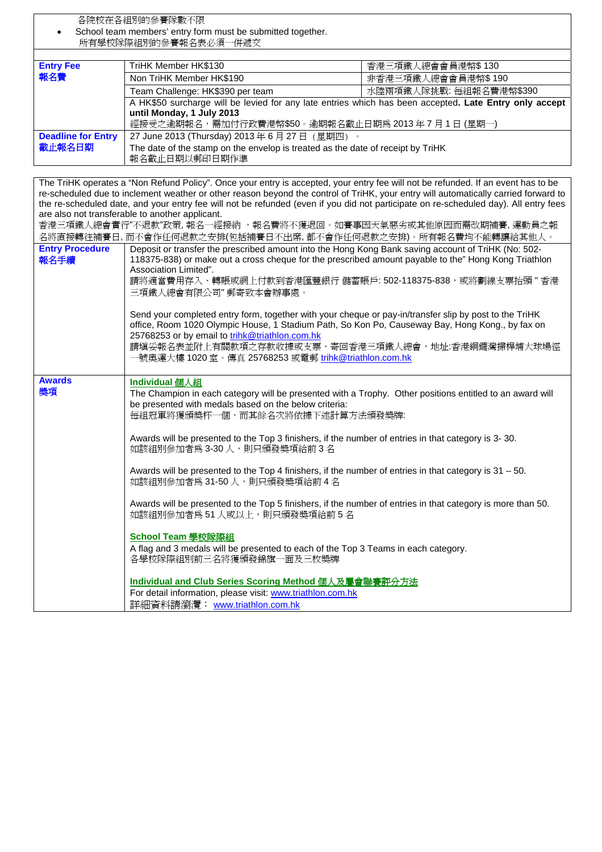各院校在各組別的參賽隊數不限 School team members' entry form must be submitted together. 所有學校隊際組別的參賽報名表必須一併遞交

| <b>Entry Fee</b>          | TriHK Member HK\$130                                                                                   | 香港三項鐵人總會會員港幣\$ 130      |  |
|---------------------------|--------------------------------------------------------------------------------------------------------|-------------------------|--|
| 報名費                       | Non TriHK Member HK\$190                                                                               | 非香港三項鐵人總會會員港幣\$190      |  |
|                           | Team Challenge: HK\$390 per team                                                                       | 水陸兩項鐵人隊挑戰: 每組報名費港幣\$390 |  |
|                           | A HK\$50 surcharge will be levied for any late entries which has been accepted. Late Entry only accept |                         |  |
|                           | until Monday, 1 July 2013                                                                              |                         |  |
|                           | 經接受之逾期報名,需加付行政費港幣\$50。逾期報名截止日期為 2013年7月1日(星期一)                                                         |                         |  |
| <b>Deadline for Entry</b> | 27 June 2013 (Thursday) 2013年6月27日 (星期四)。                                                              |                         |  |
| 截止報名日期                    | The date of the stamp on the envelop is treated as the date of receipt by TriHK                        |                         |  |
|                           | 報名截止日期以郵印日期作準                                                                                          |                         |  |

The TriHK operates a "Non Refund Policy". Once your entry is accepted, your entry fee will not be refunded. If an event has to be re-scheduled due to inclement weather or other reason beyond the control of TriHK, your entry will automatically carried forward to the re-scheduled date, and your entry fee will not be refunded (even if you did not participate on re-scheduled day). All entry fees are also not transferable to another applicant. 香港三項鐵人總會實行"不退款"政策, 報名一經接納 ,報名費將不獲退回。如賽事因天氣惡劣或其他原因而需改期補賽, 運動員之報 名將直接轉往補賽日, 而不會作任何退款之安排(包括補賽日不出席, 都不會作任何退款之安排)。所有報名費均不能轉讓給其他人。 **Entry Procedure**  報名手續 Deposit or transfer the prescribed amount into the Hong Kong Bank saving account of TriHK (No: 502- 118375-838) or make out a cross cheque for the prescribed amount payable to the" Hong Kong Triathlon Association Limited". 請將適當費用存入、轉賬或網上付款到香港匯豐銀行 儲蓄賬戶: 502-118375-838,或將劃線支票抬頭 " 香港 三項鐵人總會有限公司" 郵寄致本會辦事處。 Send your completed entry form, together with your cheque or pay-in/transfer slip by post to the TriHK office, Room 1020 Olympic House, 1 Stadium Path, So Kon Po, Causeway Bay, Hong Kong., by fax on 25768253 or by email to trihk@triathlon.com.hk 請填妥報名表並附上有關款項之存款收據或支票,寄回香港三項鐵人總會,地址:香港銅鑼灣掃桿埔大球場徑 一號奧運大樓 1020 室。傳真 25768253 或電郵 trihk@triathlon.com.hk **Awards**  獎項 **Individual** 個人組 The Champion in each category will be presented with a Trophy. Other positions entitled to an award will be presented with medals based on the below criteria: 每組冠軍將獲頒獎杯一個,而其餘名次將依據下述計算方法頒發獎牌: Awards will be presented to the Top 3 finishers, if the number of entries in that category is 3- 30. 如該組別參加者為 3-30 人,則只頒發獎項給前 3名 Awards will be presented to the Top 4 finishers, if the number of entries in that category is  $31 - 50$ . 如該組別參加者為 31-50 人,則只頒發獎項給前 4 名 Awards will be presented to the Top 5 finishers, if the number of entries in that category is more than 50. 如該組別參加者為 51 人或以上,則只頒發獎項給前 5名 **School Team** 學校隊際組 A flag and 3 medals will be presented to each of the Top 3 Teams in each category. 各學校隊際組別前三名將獲頒發錦旗一面及三枚獎牌 **Individual and Club Series Scoring Method** 個人及屬會聯賽評分方法 For detail information, please visit: www.triathlon.com.hk 詳細資料請瀏灠: www.triathlon.com.hk